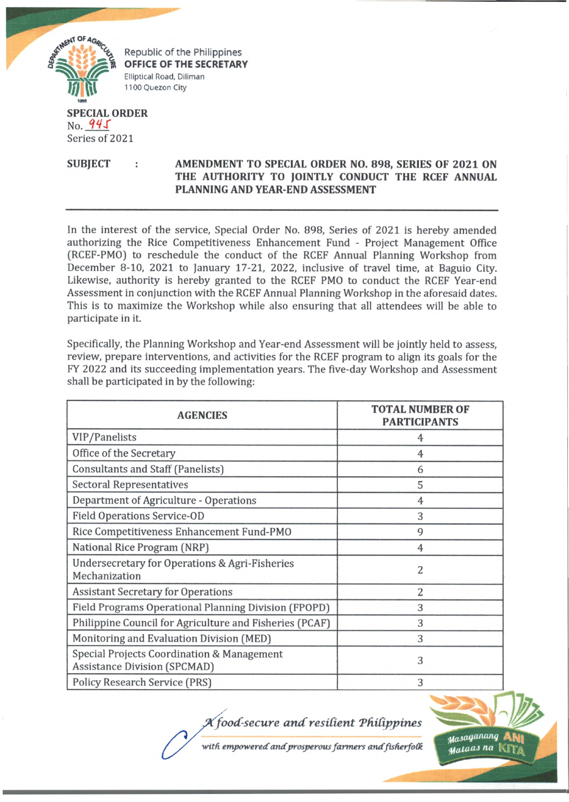

Republic of the Philippines **OFFICE OF THE SECRETARY** Elliptical Road, Diliman 1100 Quezon City

## **SPECIAL ORDER** No. *M S* Series of 2021

**SUBJECT : AMENDMENT TO SPECIAL ORDER NO. 898, SERIES OF 2021 ON THE AUTHORITY TO JOINTLY CONDUCT THE RCEF ANNUAL PLANNING AND YEAR-END ASSESSMENT**

In the interest of the service, Special Order No. 898, Series of 2021 is hereby amended authorizing the Rice Competitiveness Enhancement Fund - Project Management Office (RCEF-PMO) to reschedule the conduct of the RCEF Annual Planning Workshop from December 8-10, 2021 to January 17-21, 2022, inclusive of travel time, at Baguio City. Likewise, authority is hereby granted to the RCEF PMO to conduct the RCEF Year-end Assessment in conjunction with the RCEF Annual Planning Workshop in the aforesaid dates. This is to maximize the Workshop while also ensuring that all attendees will be able to participate in it.

Specifically, the Planning Workshop and Year-end Assessment will be jointly held to assess, review, prepare interventions, and activities for the RCEF program to align its goals for the FY 2022 and its succeeding implementation years. The five-day Workshop and Assessment shall be participated in by the following:

| <b>AGENCIES</b>                                                                   | <b>TOTAL NUMBER OF</b><br><b>PARTICIPANTS</b> |
|-----------------------------------------------------------------------------------|-----------------------------------------------|
| VIP/Panelists                                                                     | 4                                             |
| Office of the Secretary                                                           | 4                                             |
| Consultants and Staff (Panelists)                                                 | 6                                             |
| <b>Sectoral Representatives</b>                                                   | 5                                             |
| Department of Agriculture - Operations                                            | 4                                             |
| <b>Field Operations Service-OD</b>                                                | 3                                             |
| Rice Competitiveness Enhancement Fund-PMO                                         | 9                                             |
| National Rice Program (NRP)                                                       | 4                                             |
| Undersecretary for Operations & Agri-Fisheries<br>Mechanization                   | $\overline{2}$                                |
| <b>Assistant Secretary for Operations</b>                                         | 2                                             |
| Field Programs Operational Planning Division (FPOPD)                              | 3                                             |
| Philippine Council for Agriculture and Fisheries (PCAF)                           | 3                                             |
| Monitoring and Evaluation Division (MED)                                          | 3                                             |
| Special Projects Coordination & Management<br><b>Assistance Division (SPCMAD)</b> | 3                                             |
| <b>Policy Research Service (PRS)</b>                                              | 3                                             |

X food-secure and resilient Philippines

with empowered and prosperous farmers and fisherfolk